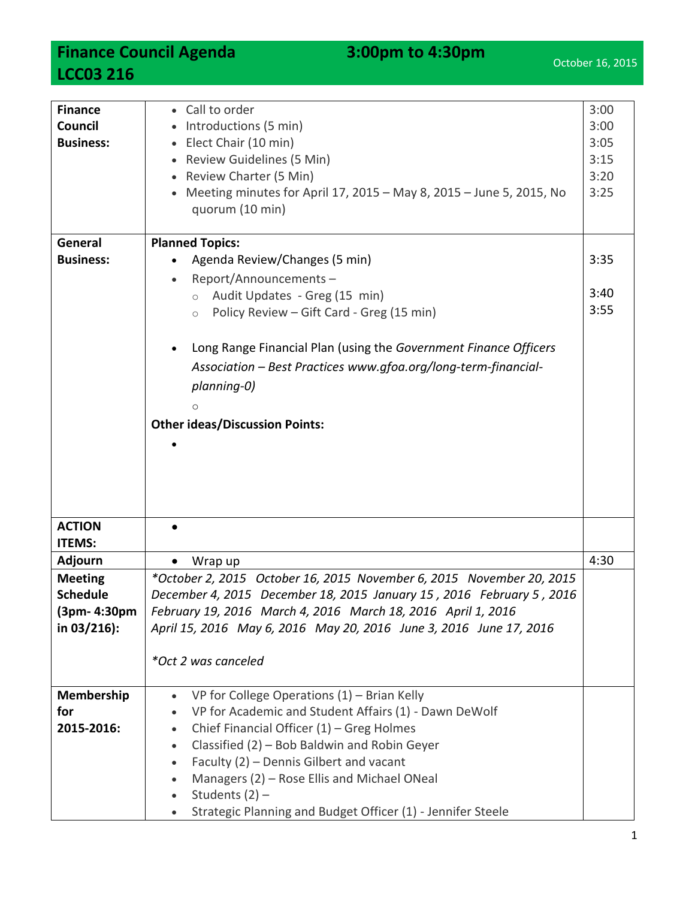**Finance Council Agenda** 3:00pm to 4:30pm **LCC03 216**

| <b>Finance</b><br>Council<br><b>Business:</b> | • Call to order<br>Introductions (5 min)<br>Elect Chair (10 min)<br>Review Guidelines (5 Min)<br>$\bullet$<br>Review Charter (5 Min)<br>Meeting minutes for April 17, 2015 - May 8, 2015 - June 5, 2015, No<br>quorum (10 min) | 3:00<br>3:00<br>3:05<br>3:15<br>3:20<br>3:25 |  |
|-----------------------------------------------|--------------------------------------------------------------------------------------------------------------------------------------------------------------------------------------------------------------------------------|----------------------------------------------|--|
| General                                       | <b>Planned Topics:</b>                                                                                                                                                                                                         |                                              |  |
| <b>Business:</b>                              | Agenda Review/Changes (5 min)                                                                                                                                                                                                  |                                              |  |
|                                               | Report/Announcements-                                                                                                                                                                                                          | 3:35                                         |  |
|                                               | Audit Updates - Greg (15 min)<br>$\circ$                                                                                                                                                                                       | 3:40                                         |  |
|                                               | Policy Review - Gift Card - Greg (15 min)<br>$\circ$                                                                                                                                                                           | 3:55                                         |  |
|                                               |                                                                                                                                                                                                                                |                                              |  |
|                                               | Long Range Financial Plan (using the Government Finance Officers                                                                                                                                                               |                                              |  |
|                                               | Association - Best Practices www.gfoa.org/long-term-financial-                                                                                                                                                                 |                                              |  |
|                                               | planning-0)                                                                                                                                                                                                                    |                                              |  |
|                                               | $\circ$                                                                                                                                                                                                                        |                                              |  |
|                                               | <b>Other ideas/Discussion Points:</b>                                                                                                                                                                                          |                                              |  |
|                                               |                                                                                                                                                                                                                                |                                              |  |
|                                               |                                                                                                                                                                                                                                |                                              |  |
|                                               |                                                                                                                                                                                                                                |                                              |  |
|                                               |                                                                                                                                                                                                                                |                                              |  |
| <b>ACTION</b>                                 |                                                                                                                                                                                                                                |                                              |  |
| <b>ITEMS:</b>                                 |                                                                                                                                                                                                                                | 4:30                                         |  |
| <b>Adjourn</b>                                | Wrap up<br>$\bullet$                                                                                                                                                                                                           |                                              |  |
| <b>Meeting</b><br><b>Schedule</b>             | *October 2, 2015 October 16, 2015 November 6, 2015 November 20, 2015                                                                                                                                                           |                                              |  |
| (3pm- 4:30pm                                  | December 4, 2015 December 18, 2015 January 15, 2016 February 5, 2016<br>February 19, 2016 March 4, 2016 March 18, 2016 April 1, 2016                                                                                           |                                              |  |
| in 03/216):                                   | April 15, 2016 May 6, 2016 May 20, 2016 June 3, 2016 June 17, 2016                                                                                                                                                             |                                              |  |
|                                               |                                                                                                                                                                                                                                |                                              |  |
|                                               | *Oct 2 was canceled                                                                                                                                                                                                            |                                              |  |
|                                               |                                                                                                                                                                                                                                |                                              |  |
| Membership                                    | VP for College Operations $(1)$ – Brian Kelly<br>$\bullet$                                                                                                                                                                     |                                              |  |
| for                                           | VP for Academic and Student Affairs (1) - Dawn DeWolf                                                                                                                                                                          |                                              |  |
| 2015-2016:                                    | Chief Financial Officer (1) - Greg Holmes<br>$\bullet$<br>Classified (2) - Bob Baldwin and Robin Geyer                                                                                                                         |                                              |  |
|                                               | $\bullet$<br>Faculty (2) - Dennis Gilbert and vacant<br>$\bullet$                                                                                                                                                              |                                              |  |
|                                               | Managers (2) - Rose Ellis and Michael ONeal                                                                                                                                                                                    |                                              |  |
|                                               | Students $(2)$ –                                                                                                                                                                                                               |                                              |  |
|                                               | Strategic Planning and Budget Officer (1) - Jennifer Steele                                                                                                                                                                    |                                              |  |